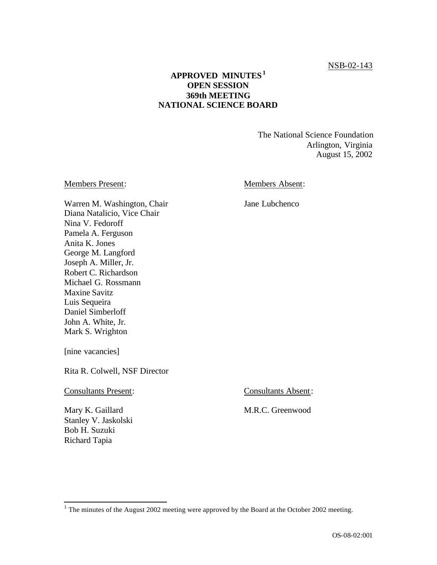## **APPROVED MINUTES 1 OPEN SESSION 369th MEETING NATIONAL SCIENCE BOARD**

The National Science Foundation Arlington, Virginia August 15, 2002

#### Members Present: Members Absent:

Jane Lubchenco

 Warren M. Washington, Chair Anita K. Jones Joseph A. Miller, Jr. Michael G. Rossmann Maxine Savitz Diana Natalicio, Vice Chair Nina V. Fedoroff Pamela A. Ferguson George M. Langford Robert C. Richardson Luis Sequeira Daniel Simberloff John A. White, Jr. Mark S. Wrighton

[nine vacancies]

Rita R. Colwell, NSF Director

**Consultants Present:** 

Mary K. Gaillard Stanley V. Jaskolski Bob H. Suzuki Richard Tapia

l

Consultants Absent:

M.R.C. Greenwood

<sup>&</sup>lt;sup>1</sup> The minutes of the August 2002 meeting were approved by the Board at the October 2002 meeting.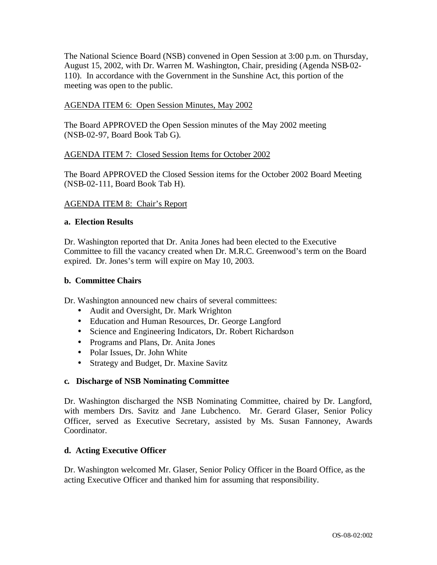The National Science Board (NSB) convened in Open Session at 3:00 p.m. on Thursday, August 15, 2002, with Dr. Warren M. Washington, Chair, presiding (Agenda NSB-02 110). In accordance with the Government in the Sunshine Act, this portion of the meeting was open to the public.

### AGENDA ITEM 6: Open Session Minutes, May 2002

The Board APPROVED the Open Session minutes of the May 2002 meeting (NSB-02-97, Board Book Tab G).

#### AGENDA ITEM 7: Closed Session Items for October 2002

The Board APPROVED the Closed Session items for the October 2002 Board Meeting (NSB-02-111, Board Book Tab H).

### AGENDA ITEM 8: Chair's Report

#### **a. Election Results**

Dr. Washington reported that Dr. Anita Jones had been elected to the Executive Committee to fill the vacancy created when Dr. M.R.C. Greenwood's term on the Board expired. Dr. Jones's term will expire on May 10, 2003.

### **b. Committee Chairs**

Dr. Washington announced new chairs of several committees:

- Audit and Oversight, Dr. Mark Wrighton
- Education and Human Resources, Dr. George Langford
- Science and Engineering Indicators, Dr. Robert Richardson
- Programs and Plans, Dr. Anita Jones
- Polar Issues, Dr. John White
- Strategy and Budget, Dr. Maxine Savitz

## **c. Discharge of NSB Nominating Committee**

Dr. Washington discharged the NSB Nominating Committee, chaired by Dr. Langford, with members Drs. Savitz and Jane Lubchenco. Mr. Gerard Glaser, Senior Policy Officer, served as Executive Secretary, assisted by Ms. Susan Fannoney, Awards Coordinator.

#### **d. Acting Executive Officer**

Dr. Washington welcomed Mr. Glaser, Senior Policy Officer in the Board Office, as the acting Executive Officer and thanked him for assuming that responsibility.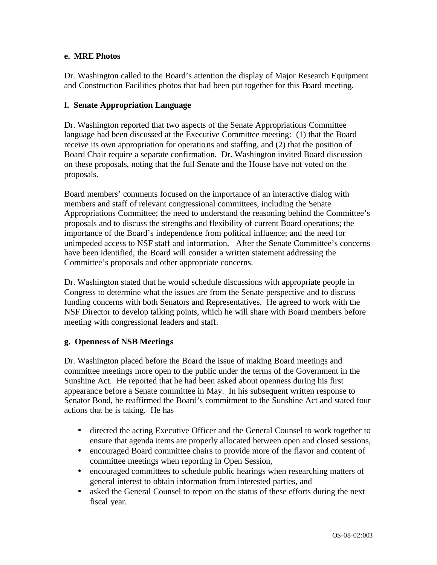### **e. MRE Photos**

Dr. Washington called to the Board's attention the display of Major Research Equipment and Construction Facilities photos that had been put together for this Board meeting.

## **f. Senate Appropriation Language**

Dr. Washington reported that two aspects of the Senate Appropriations Committee language had been discussed at the Executive Committee meeting: (1) that the Board receive its own appropriation for operations and staffing, and (2) that the position of Board Chair require a separate confirmation. Dr. Washington invited Board discussion on these proposals, noting that the full Senate and the House have not voted on the proposals.

Board members' comments focused on the importance of an interactive dialog with members and staff of relevant congressional committees, including the Senate Appropriations Committee; the need to understand the reasoning behind the Committee's proposals and to discuss the strengths and flexibility of current Board operations; the importance of the Board's independence from political influence; and the need for unimpeded access to NSF staff and information. After the Senate Committee's concerns have been identified, the Board will consider a written statement addressing the Committee's proposals and other appropriate concerns.

Dr. Washington stated that he would schedule discussions with appropriate people in Congress to determine what the issues are from the Senate perspective and to discuss funding concerns with both Senators and Representatives. He agreed to work with the NSF Director to develop talking points, which he will share with Board members before meeting with congressional leaders and staff.

## **g. Openness of NSB Meetings**

Dr. Washington placed before the Board the issue of making Board meetings and committee meetings more open to the public under the terms of the Government in the Sunshine Act. He reported that he had been asked about openness during his first appearance before a Senate committee in May. In his subsequent written response to Senator Bond, he reaffirmed the Board's commitment to the Sunshine Act and stated four actions that he is taking. He has

- directed the acting Executive Officer and the General Counsel to work together to ensure that agenda items are properly allocated between open and closed sessions,
- encouraged Board committee chairs to provide more of the flavor and content of committee meetings when reporting in Open Session,
- encouraged committees to schedule public hearings when researching matters of general interest to obtain information from interested parties, and
- asked the General Counsel to report on the status of these efforts during the next fiscal year.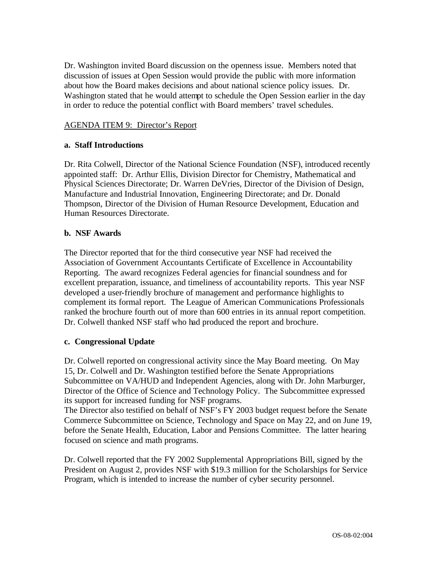Dr. Washington invited Board discussion on the openness issue. Members noted that discussion of issues at Open Session would provide the public with more information about how the Board makes decisions and about national science policy issues. Dr. Washington stated that he would attempt to schedule the Open Session earlier in the day in order to reduce the potential conflict with Board members' travel schedules.

### AGENDA ITEM 9: Director's Report

### **a. Staff Introductions**

Dr. Rita Colwell, Director of the National Science Foundation (NSF), introduced recently appointed staff: Dr. Arthur Ellis, Division Director for Chemistry, Mathematical and Physical Sciences Directorate; Dr. Warren DeVries, Director of the Division of Design, Manufacture and Industrial Innovation, Engineering Directorate; and Dr. Donald Thompson, Director of the Division of Human Resource Development, Education and Human Resources Directorate.

#### **b. NSF Awards**

The Director reported that for the third consecutive year NSF had received the Association of Government Accountants Certificate of Excellence in Accountability Reporting. The award recognizes Federal agencies for financial soundness and for excellent preparation, issuance, and timeliness of accountability reports. This year NSF developed a user-friendly brochure of management and performance highlights to complement its formal report. The League of American Communications Professionals ranked the brochure fourth out of more than 600 entries in its annual report competition. Dr. Colwell thanked NSF staff who had produced the report and brochure.

#### **c. Congressional Update**

Dr. Colwell reported on congressional activity since the May Board meeting. On May 15, Dr. Colwell and Dr. Washington testified before the Senate Appropriations Subcommittee on VA/HUD and Independent Agencies, along with Dr. John Marburger, Director of the Office of Science and Technology Policy. The Subcommittee expressed its support for increased funding for NSF programs.

The Director also testified on behalf of NSF's FY 2003 budget request before the Senate Commerce Subcommittee on Science, Technology and Space on May 22, and on June 19, before the Senate Health, Education, Labor and Pensions Committee. The latter hearing focused on science and math programs.

Dr. Colwell reported that the FY 2002 Supplemental Appropriations Bill, signed by the President on August 2, provides NSF with \$19.3 million for the Scholarships for Service Program, which is intended to increase the number of cyber security personnel.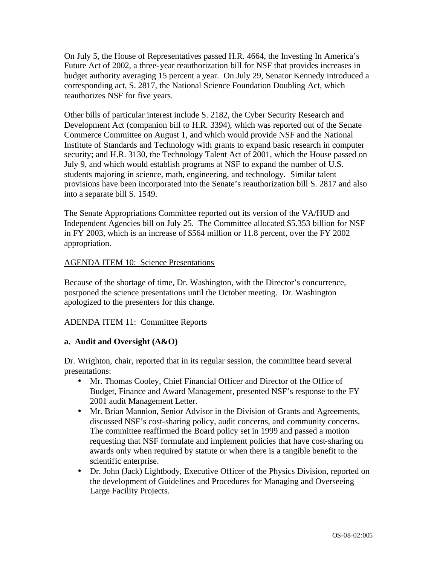On July 5, the House of Representatives passed H.R. 4664, the Investing In America's Future Act of 2002, a three-year reauthorization bill for NSF that provides increases in budget authority averaging 15 percent a year. On July 29, Senator Kennedy introduced a corresponding act, S. 2817, the National Science Foundation Doubling Act, which reauthorizes NSF for five years.

Other bills of particular interest include S. 2182, the Cyber Security Research and Development Act (companion bill to H.R. 3394), which was reported out of the Senate Commerce Committee on August 1, and which would provide NSF and the National Institute of Standards and Technology with grants to expand basic research in computer security; and H.R. 3130, the Technology Talent Act of 2001, which the House passed on July 9, and which would establish programs at NSF to expand the number of U.S. students majoring in science, math, engineering, and technology. Similar talent provisions have been incorporated into the Senate's reauthorization bill S. 2817 and also into a separate bill S. 1549.

The Senate Appropriations Committee reported out its version of the VA/HUD and Independent Agencies bill on July 25. The Committee allocated \$5.353 billion for NSF in FY 2003, which is an increase of \$564 million or 11.8 percent, over the FY 2002 appropriation.

### AGENDA ITEM 10: Science Presentations

Because of the shortage of time, Dr. Washington, with the Director's concurrence, postponed the science presentations until the October meeting. Dr. Washington apologized to the presenters for this change.

## ADENDA ITEM 11: Committee Reports

#### **a. Audit and Oversight (A&O)**

Dr. Wrighton, chair, reported that in its regular session, the committee heard several presentations:

- Mr. Thomas Cooley, Chief Financial Officer and Director of the Office of Budget, Finance and Award Management, presented NSF's response to the FY 2001 audit Management Letter.
- Mr. Brian Mannion, Senior Advisor in the Division of Grants and Agreements, discussed NSF's cost-sharing policy, audit concerns, and community concerns. The committee reaffirmed the Board policy set in 1999 and passed a motion requesting that NSF formulate and implement policies that have cost-sharing on awards only when required by statute or when there is a tangible benefit to the scientific enterprise.
- Dr. John (Jack) Lightbody, Executive Officer of the Physics Division, reported on the development of Guidelines and Procedures for Managing and Overseeing Large Facility Projects.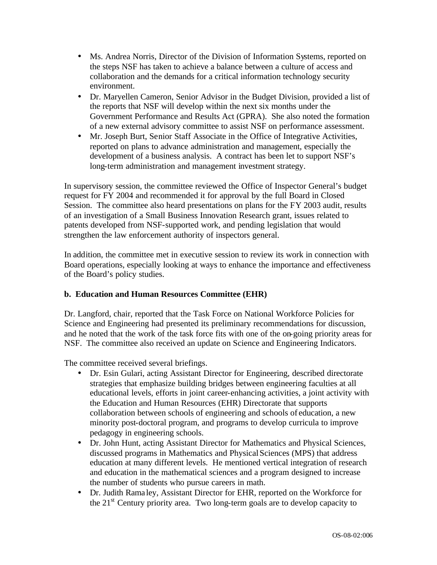- Ms. Andrea Norris, Director of the Division of Information Systems, reported on the steps NSF has taken to achieve a balance between a culture of access and collaboration and the demands for a critical information technology security environment.
- Dr. Maryellen Cameron, Senior Advisor in the Budget Division, provided a list of the reports that NSF will develop within the next six months under the Government Performance and Results Act (GPRA). She also noted the formation of a new external advisory committee to assist NSF on performance assessment.
- Mr. Joseph Burt, Senior Staff Associate in the Office of Integrative Activities, reported on plans to advance administration and management, especially the development of a business analysis. A contract has been let to support NSF's long-term administration and management investment strategy.

In supervisory session, the committee reviewed the Office of Inspector General's budget request for FY 2004 and recommended it for approval by the full Board in Closed Session. The committee also heard presentations on plans for the FY 2003 audit, results of an investigation of a Small Business Innovation Research grant, issues related to patents developed from NSF-supported work, and pending legislation that would strengthen the law enforcement authority of inspectors general.

In addition, the committee met in executive session to review its work in connection with Board operations, especially looking at ways to enhance the importance and effectiveness of the Board's policy studies.

## **b. Education and Human Resources Committee (EHR)**

Dr. Langford, chair, reported that the Task Force on National Workforce Policies for Science and Engineering had presented its preliminary recommendations for discussion, and he noted that the work of the task force fits with one of the on-going priority areas for NSF. The committee also received an update on Science and Engineering Indicators.

The committee received several briefings.

- Dr. Esin Gulari, acting Assistant Director for Engineering, described directorate strategies that emphasize building bridges between engineering faculties at all educational levels, efforts in joint career-enhancing activities, a joint activity with the Education and Human Resources (EHR) Directorate that supports collaboration between schools of engineering and schools of education, a new minority post-doctoral program, and programs to develop curricula to improve pedagogy in engineering schools.
- Dr. John Hunt, acting Assistant Director for Mathematics and Physical Sciences, discussed programs in Mathematics and Physical Sciences (MPS) that address education at many different levels. He mentioned vertical integration of research and education in the mathematical sciences and a program designed to increase the number of students who pursue careers in math.
- Dr. Judith Ramaley, Assistant Director for EHR, reported on the Workforce for the  $21<sup>st</sup>$  Century priority area. Two long-term goals are to develop capacity to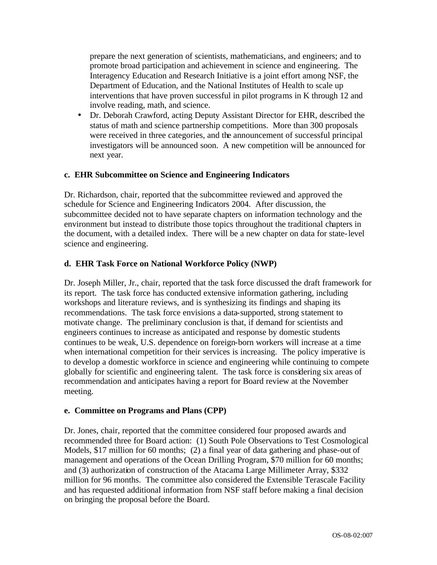prepare the next generation of scientists, mathematicians, and engineers; and to promote broad participation and achievement in science and engineering. The Interagency Education and Research Initiative is a joint effort among NSF, the Department of Education, and the National Institutes of Health to scale up interventions that have proven successful in pilot programs in K through 12 and involve reading, math, and science.

• Dr. Deborah Crawford, acting Deputy Assistant Director for EHR, described the status of math and science partnership competitions. More than 300 proposals were received in three categories, and the announcement of successful principal investigators will be announced soon. A new competition will be announced for next year.

### **c. EHR Subcommittee on Science and Engineering Indicators**

Dr. Richardson, chair, reported that the subcommittee reviewed and approved the schedule for Science and Engineering Indicators 2004. After discussion, the subcommittee decided not to have separate chapters on information technology and the environment but instead to distribute those topics throughout the traditional chapters in the document, with a detailed index. There will be a new chapter on data for state-level science and engineering.

### **d. EHR Task Force on National Workforce Policy (NWP)**

Dr. Joseph Miller, Jr., chair, reported that the task force discussed the draft framework for its report. The task force has conducted extensive information gathering, including workshops and literature reviews, and is synthesizing its findings and shaping its recommendations. The task force envisions a data-supported, strong statement to motivate change. The preliminary conclusion is that, if demand for scientists and engineers continues to increase as anticipated and response by domestic students continues to be weak, U.S. dependence on foreign-born workers will increase at a time when international competition for their services is increasing. The policy imperative is to develop a domestic workforce in science and engineering while continuing to compete globally for scientific and engineering talent. The task force is considering six areas of recommendation and anticipates having a report for Board review at the November meeting.

#### **e. Committee on Programs and Plans (CPP)**

Dr. Jones, chair, reported that the committee considered four proposed awards and recommended three for Board action: (1) South Pole Observations to Test Cosmological Models, \$17 million for 60 months; (2) a final year of data gathering and phase-out of management and operations of the Ocean Drilling Program, \$70 million for 60 months; and (3) authorization of construction of the Atacama Large Millimeter Array, \$332 million for 96 months. The committee also considered the Extensible Terascale Facility and has requested additional information from NSF staff before making a final decision on bringing the proposal before the Board.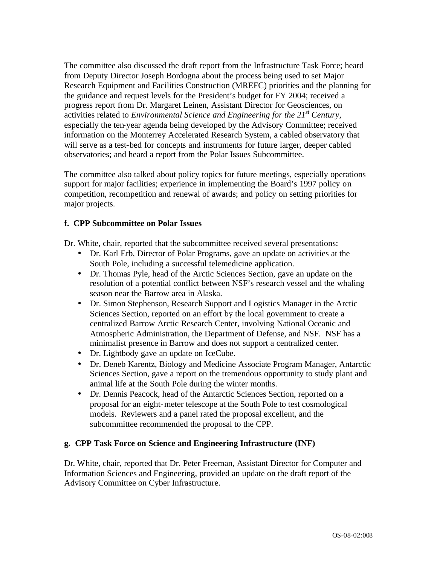The committee also discussed the draft report from the Infrastructure Task Force; heard from Deputy Director Joseph Bordogna about the process being used to set Major Research Equipment and Facilities Construction (MREFC) priorities and the planning for the guidance and request levels for the President's budget for FY 2004; received a progress report from Dr. Margaret Leinen, Assistant Director for Geosciences, on activities related to *Environmental Science and Engineering for the 21st Century*, especially the ten-year agenda being developed by the Advisory Committee; received information on the Monterrey Accelerated Research System, a cabled observatory that will serve as a test-bed for concepts and instruments for future larger, deeper cabled observatories; and heard a report from the Polar Issues Subcommittee.

The committee also talked about policy topics for future meetings, especially operations support for major facilities; experience in implementing the Board's 1997 policy on competition, recompetition and renewal of awards; and policy on setting priorities for major projects.

### **f. CPP Subcommittee on Polar Issues**

Dr. White, chair, reported that the subcommittee received several presentations:

- Dr. Karl Erb, Director of Polar Programs, gave an update on activities at the South Pole, including a successful telemedicine application.
- Dr. Thomas Pyle, head of the Arctic Sciences Section, gave an update on the resolution of a potential conflict between NSF's research vessel and the whaling season near the Barrow area in Alaska.
- Dr. Simon Stephenson, Research Support and Logistics Manager in the Arctic Sciences Section, reported on an effort by the local government to create a centralized Barrow Arctic Research Center, involving National Oceanic and Atmospheric Administration, the Department of Defense, and NSF. NSF has a minimalist presence in Barrow and does not support a centralized center.
- Dr. Lightbody gave an update on IceCube.
- Dr. Deneb Karentz, Biology and Medicine Associate Program Manager, Antarctic Sciences Section, gave a report on the tremendous opportunity to study plant and animal life at the South Pole during the winter months.
- Dr. Dennis Peacock, head of the Antarctic Sciences Section, reported on a proposal for an eight-meter telescope at the South Pole to test cosmological models. Reviewers and a panel rated the proposal excellent, and the subcommittee recommended the proposal to the CPP.

## **g. CPP Task Force on Science and Engineering Infrastructure (INF)**

Dr. White, chair, reported that Dr. Peter Freeman, Assistant Director for Computer and Information Sciences and Engineering, provided an update on the draft report of the Advisory Committee on Cyber Infrastructure.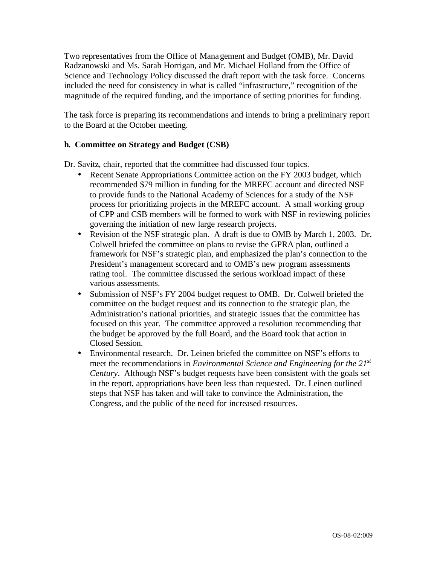Two representatives from the Office of Mana gement and Budget (OMB), Mr. David Radzanowski and Ms. Sarah Horrigan, and Mr. Michael Holland from the Office of Science and Technology Policy discussed the draft report with the task force. Concerns included the need for consistency in what is called "infrastructure," recognition of the magnitude of the required funding, and the importance of setting priorities for funding.

The task force is preparing its recommendations and intends to bring a preliminary report to the Board at the October meeting.

## **h. Committee on Strategy and Budget (CSB)**

Dr. Savitz, chair, reported that the committee had discussed four topics.

- Recent Senate Appropriations Committee action on the FY 2003 budget, which recommended \$79 million in funding for the MREFC account and directed NSF to provide funds to the National Academy of Sciences for a study of the NSF process for prioritizing projects in the MREFC account. A small working group of CPP and CSB members will be formed to work with NSF in reviewing policies governing the initiation of new large research projects.
- Revision of the NSF strategic plan. A draft is due to OMB by March 1, 2003. Dr. Colwell briefed the committee on plans to revise the GPRA plan, outlined a framework for NSF's strategic plan, and emphasized the plan's connection to the President's management scorecard and to OMB's new program assessments rating tool. The committee discussed the serious workload impact of these various assessments.
- Submission of NSF's FY 2004 budget request to OMB. Dr. Colwell briefed the committee on the budget request and its connection to the strategic plan, the Administration's national priorities, and strategic issues that the committee has focused on this year. The committee approved a resolution recommending that the budget be approved by the full Board, and the Board took that action in Closed Session.
- Environmental research. Dr. Leinen briefed the committee on NSF's efforts to meet the recommendations in *Environmental Science and Engineering for the 21st Century*. Although NSF's budget requests have been consistent with the goals set in the report, appropriations have been less than requested. Dr. Leinen outlined steps that NSF has taken and will take to convince the Administration, the Congress, and the public of the need for increased resources.